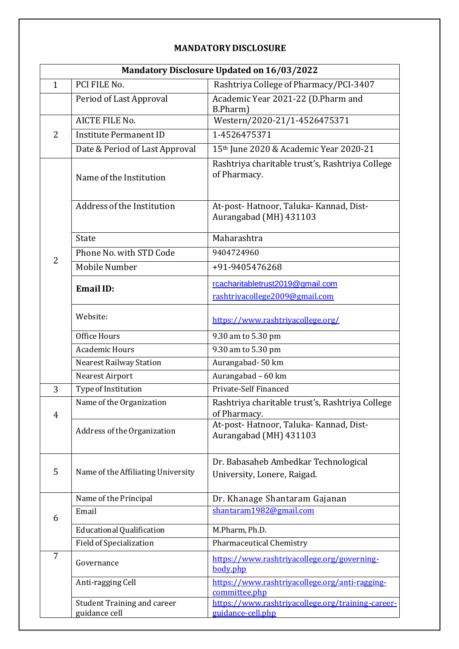#### **MANDATORY DISCLOSURE**

|                | Mandatory Disclosure Updated on 16/03/2022 |                                                                     |  |  |  |
|----------------|--------------------------------------------|---------------------------------------------------------------------|--|--|--|
| $\mathbf{1}$   | PCI FILE No.                               | Rashtriya College of Pharmacy/PCI-3407                              |  |  |  |
|                | Period of Last Approval                    | Academic Year 2021-22 (D.Pharm and<br>B.Pharm)                      |  |  |  |
|                | <b>AICTE FILE No.</b>                      | Western/2020-21/1-4526475371                                        |  |  |  |
| $\overline{2}$ | <b>Institute Permanent ID</b>              | 1-4526475371                                                        |  |  |  |
|                | Date & Period of Last Approval             | 15th June 2020 & Academic Year 2020-21                              |  |  |  |
|                | Name of the Institution                    | Rashtriya charitable trust's, Rashtriya College<br>of Pharmacy.     |  |  |  |
|                | Address of the Institution                 | At-post-Hatnoor, Taluka-Kannad, Dist-<br>Aurangabad (MH) 431103     |  |  |  |
|                | <b>State</b>                               | Maharashtra                                                         |  |  |  |
|                | Phone No. with STD Code                    | 9404724960                                                          |  |  |  |
| $\overline{2}$ | Mobile Number                              | +91-9405476268                                                      |  |  |  |
|                | <b>Email ID:</b>                           | rcacharitabletrust2019@gmail.com<br>rashtriyacollege2009@gmail.com  |  |  |  |
|                | Website:                                   | https://www.rashtriyacollege.org/                                   |  |  |  |
|                | Office Hours                               | 9.30 am to 5.30 pm                                                  |  |  |  |
|                | <b>Academic Hours</b>                      | 9.30 am to 5.30 pm                                                  |  |  |  |
|                | <b>Nearest Railway Station</b>             | Aurangabad-50 km                                                    |  |  |  |
|                | Nearest Airport                            | Aurangabad - 60 km                                                  |  |  |  |
| 3              | Type of Institution                        | Private-Self Financed                                               |  |  |  |
| 4              | Name of the Organization                   | Rashtriya charitable trust's, Rashtriya College<br>of Pharmacy.     |  |  |  |
|                | Address of the Organization                | At-post-Hatnoor, Taluka-Kannad, Dist-<br>Aurangabad (MH) 431103     |  |  |  |
| 5              | Name of the Affiliating University         | Dr. Babasaheb Ambedkar Technological<br>University, Lonere, Raigad. |  |  |  |
|                | Name of the Principal                      | Dr. Khanage Shantaram Gajanan                                       |  |  |  |
| 6              | Email                                      | shantaram1982@gmail.com                                             |  |  |  |
|                | <b>Educational Qualification</b>           | M.Pharm, Ph.D.                                                      |  |  |  |
|                | Field of Specialization                    | <b>Pharmaceutical Chemistry</b>                                     |  |  |  |
| 7              | Governance                                 | https://www.rashtriyacollege.org/governing-<br>body.php             |  |  |  |
|                | Anti-ragging Cell                          | https://www.rashtriyacollege.org/anti-ragging-<br>committee.php     |  |  |  |
|                | <b>Student Training and career</b>         | https://www.rashtriyacollege.org/training-career-                   |  |  |  |
|                | guidance cell                              | guidance-cell.php                                                   |  |  |  |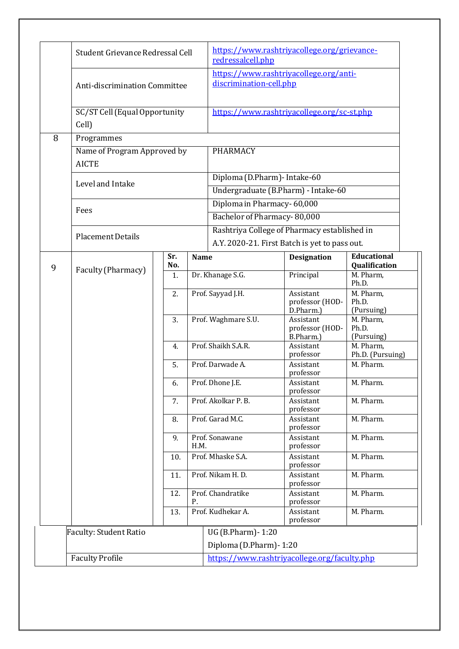| Student Grievance Redressal Cell |                                             |            | redressalcell.php                             | https://www.rashtriyacollege.org/grievance-  |                                            |                                     |
|----------------------------------|---------------------------------------------|------------|-----------------------------------------------|----------------------------------------------|--------------------------------------------|-------------------------------------|
|                                  | Anti-discrimination Committee               |            | discrimination-cell.php                       | https://www.rashtriyacollege.org/anti-       |                                            |                                     |
| Cell)                            | SC/ST Cell (Equal Opportunity               |            |                                               |                                              | https://www.rashtriyacollege.org/sc-st.php |                                     |
| 8                                | Programmes                                  |            |                                               |                                              |                                            |                                     |
|                                  | Name of Program Approved by<br><b>AICTE</b> |            |                                               | <b>PHARMACY</b>                              |                                            |                                     |
|                                  | Level and Intake                            |            |                                               | Diploma (D.Pharm) - Intake-60                |                                            |                                     |
|                                  |                                             |            |                                               |                                              | Undergraduate (B.Pharm) - Intake-60        |                                     |
| Fees                             |                                             |            |                                               | Diploma in Pharmacy-60,000                   |                                            |                                     |
|                                  |                                             |            |                                               | Bachelor of Pharmacy-80,000                  |                                            |                                     |
|                                  | <b>Placement Details</b>                    |            |                                               | Rashtriya College of Pharmacy established in |                                            |                                     |
|                                  |                                             |            | A.Y. 2020-21. First Batch is yet to pass out. |                                              |                                            |                                     |
| 9                                |                                             | Sr.<br>No. | <b>Name</b>                                   |                                              | <b>Designation</b>                         | <b>Educational</b><br>Qualification |
|                                  | Faculty (Pharmacy)                          | 1.         |                                               | Dr. Khanage S.G.                             | Principal                                  | M. Pharm,<br>Ph.D.                  |
|                                  |                                             | 2.         |                                               | Prof. Sayyad J.H.                            | Assistant<br>professor (HOD-<br>D.Pharm.)  | M. Pharm,<br>Ph.D.<br>(Pursuing)    |
|                                  |                                             | 3.         |                                               | Prof. Waghmare S.U.                          | Assistant<br>professor (HOD-<br>B.Pharm.)  | M. Pharm,<br>Ph.D.<br>(Pursuing)    |
|                                  |                                             | 4.         |                                               | Prof. Shaikh S.A.R.                          | Assistant<br>professor                     | M. Pharm,<br>Ph.D. (Pursuing)       |
|                                  |                                             | 5.         |                                               | Prof. Darwade A.                             | Assistant<br>professor                     | M. Pharm.                           |
|                                  |                                             | 6.         |                                               | Prof. Dhone J.E.                             | Assistant<br>professor                     | M. Pharm.                           |
|                                  |                                             | 7.         |                                               | Prof. Akolkar P. B.                          | Assistant<br>professor                     | M. Pharm.                           |
|                                  |                                             | 8.         |                                               | Prof. Garad M.C.                             | Assistant<br>professor                     | M. Pharm.                           |
|                                  |                                             | 9.         | H.M.                                          | Prof. Sonawane                               | Assistant<br>professor                     | M. Pharm.                           |
|                                  |                                             | 10.        |                                               | Prof. Mhaske S.A.                            | Assistant<br>professor                     | M. Pharm.                           |
|                                  |                                             | 11.        |                                               | Prof. Nikam H.D.                             | Assistant<br>professor                     | M. Pharm.                           |
| 12.                              |                                             | Ρ.         | Prof. Chandratike                             | Assistant<br>professor                       | M. Pharm.                                  |                                     |
|                                  |                                             | 13.        |                                               | Prof. Kudhekar A.                            | Assistant<br>professor                     | M. Pharm.                           |
|                                  |                                             |            |                                               | UG (B.Pharm) - 1:20                          |                                            |                                     |
|                                  | <b>Faculty: Student Ratio</b>               |            |                                               | Diploma (D.Pharm) - 1:20                     |                                            |                                     |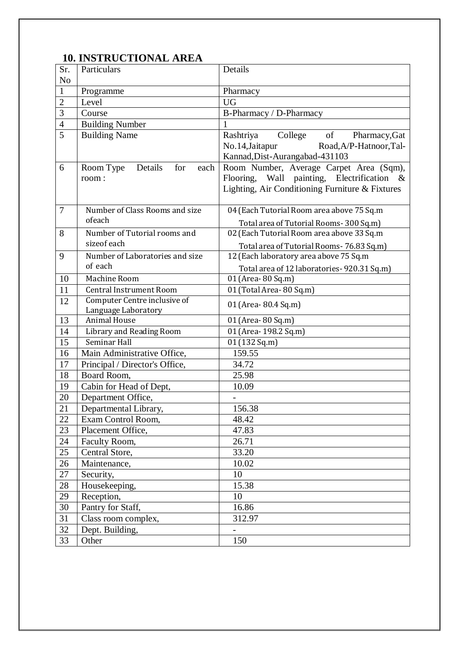#### **10. INSTRUCTIONAL AREA**

| Sr.            | Particulars                                | Details                                         |
|----------------|--------------------------------------------|-------------------------------------------------|
| N <sub>o</sub> |                                            |                                                 |
| $\mathbf{1}$   | Programme                                  | Pharmacy                                        |
| $\overline{2}$ | Level                                      | <b>UG</b>                                       |
| 3              | Course                                     | B-Pharmacy / D-Pharmacy                         |
| $\overline{4}$ | <b>Building Number</b>                     |                                                 |
| 5              | <b>Building Name</b>                       | Rashtriya<br>College<br>of<br>Pharmacy, Gat     |
|                |                                            | No.14, Jaitapur<br>Road, A/P-Hatnoor, Tal-      |
|                |                                            | Kannad, Dist-Aurangabad-431103                  |
| 6              | for<br>Room Type<br>Details<br>each        | Room Number, Average Carpet Area (Sqm),         |
|                | room:                                      | Flooring, Wall painting, Electrification &      |
|                |                                            | Lighting, Air Conditioning Furniture & Fixtures |
|                |                                            |                                                 |
| $\overline{7}$ | Number of Class Rooms and size             | 04 (Each Tutorial Room area above 75 Sq.m       |
|                | ofeach                                     | Total area of Tutorial Rooms-300 Sq.m)          |
| 8              | Number of Tutorial rooms and               | 02 (Each Tutorial Room area above 33 Sq.m       |
|                | sizeof each                                | Total area of Tutorial Rooms- 76.83 Sq.m)       |
| 9              | Number of Laboratories and size            | 12 (Each laboratory area above 75 Sq.m          |
|                | of each                                    | Total area of 12 laboratories- 920.31 Sq.m)     |
| 10             | Machine Room                               | 01 (Area-80 Sq.m)                               |
| 11             | <b>Central Instrument Room</b>             | 01 (Total Area-80 Sq.m)                         |
| 12             | Computer Centre inclusive of               | 01 (Area- 80.4 Sq.m)                            |
| 13             | Language Laboratory<br><b>Animal House</b> | 01 (Area-80 Sq.m)                               |
| 14             | <b>Library and Reading Room</b>            | 01 (Area- 198.2 Sq.m)                           |
| 15             | Seminar Hall                               | 01 (132 Sq.m)                                   |
| 16             | Main Administrative Office,                | 159.55                                          |
| 17             | Principal / Director's Office,             | 34.72                                           |
| 18             | Board Room,                                | 25.98                                           |
| 19             | Cabin for Head of Dept,                    | 10.09                                           |
| 20             | Department Office,                         |                                                 |
| 21             | Departmental Library,                      | 156.38                                          |
| 22             | Exam Control Room,                         | 48.42                                           |
| 23             | Placement Office,                          | 47.83                                           |
| 24             | Faculty Room,                              | 26.71                                           |
| 25             | Central Store,                             | 33.20                                           |
| 26             | Maintenance,                               | 10.02                                           |
| 27             | Security,                                  | 10                                              |
| 28             | Housekeeping,                              | 15.38                                           |
| 29             | Reception,                                 | 10                                              |
| 30             | Pantry for Staff,                          | 16.86                                           |
| 31             | Class room complex,                        | 312.97                                          |
| 32             | Dept. Building,                            | $\overline{\phantom{0}}$                        |
| 33             | Other                                      | 150                                             |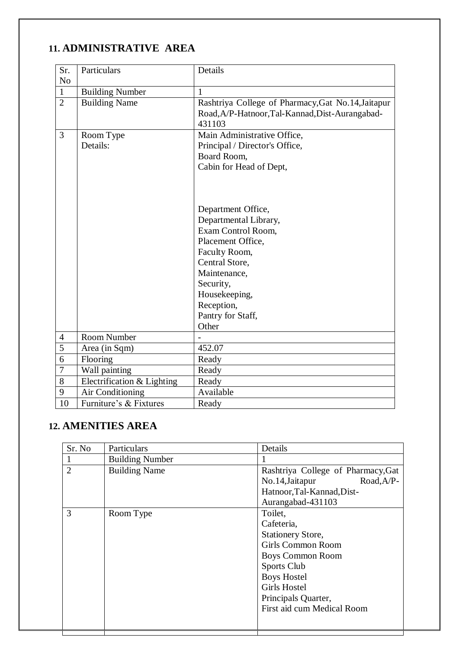## **11. ADMINISTRATIVE AREA**

| Sr.            | Particulars                | Details                                            |  |
|----------------|----------------------------|----------------------------------------------------|--|
| N <sub>o</sub> |                            |                                                    |  |
| $\mathbf{1}$   | <b>Building Number</b>     | 1                                                  |  |
| $\overline{2}$ | <b>Building Name</b>       | Rashtriya College of Pharmacy, Gat No.14, Jaitapur |  |
|                |                            | Road, A/P-Hatnoor, Tal-Kannad, Dist-Aurangabad-    |  |
|                |                            | 431103                                             |  |
| 3              | Room Type                  | Main Administrative Office,                        |  |
|                | Details:                   | Principal / Director's Office,                     |  |
|                |                            | Board Room,                                        |  |
|                |                            | Cabin for Head of Dept,                            |  |
|                |                            |                                                    |  |
|                |                            |                                                    |  |
|                |                            |                                                    |  |
|                |                            | Department Office,                                 |  |
|                |                            | Departmental Library,                              |  |
|                |                            | Exam Control Room,                                 |  |
|                |                            | Placement Office,                                  |  |
|                |                            | Faculty Room,                                      |  |
|                |                            | Central Store,                                     |  |
|                |                            | Maintenance,                                       |  |
|                |                            | Security,                                          |  |
|                |                            | Housekeeping,                                      |  |
|                |                            | Reception,                                         |  |
|                |                            | Pantry for Staff,                                  |  |
|                |                            | Other                                              |  |
| $\overline{4}$ | Room Number                |                                                    |  |
| 5              | Area (in Sqm)              | 452.07                                             |  |
| 6              | Flooring                   | Ready                                              |  |
| 7              | Wall painting              | Ready                                              |  |
| 8              | Electrification & Lighting | Ready                                              |  |
| 9              | Air Conditioning           | Available                                          |  |
| 10             | Furniture's & Fixtures     | Ready                                              |  |

#### **12. AMENITIES AREA**

| Sr. No         | Particulars            | Details                            |
|----------------|------------------------|------------------------------------|
|                | <b>Building Number</b> |                                    |
| $\overline{2}$ | <b>Building Name</b>   | Rashtriya College of Pharmacy, Gat |
|                |                        | No.14, Jaitapur<br>Road, A/P-      |
|                |                        | Hatnoor, Tal-Kannad, Dist-         |
|                |                        | Aurangabad-431103                  |
| 3              | Room Type              | Toilet,                            |
|                |                        | Cafeteria,                         |
|                |                        | <b>Stationery Store,</b>           |
|                |                        | <b>Girls Common Room</b>           |
|                |                        | <b>Boys Common Room</b>            |
|                |                        | Sports Club                        |
|                |                        | <b>Boys Hostel</b>                 |
|                |                        | <b>Girls Hostel</b>                |
|                |                        | Principals Quarter,                |
|                |                        | First aid cum Medical Room         |
|                |                        |                                    |

Т

J.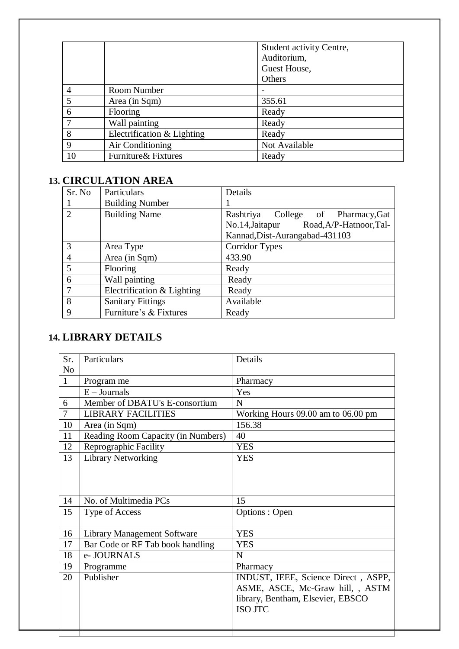|                |                            | Student activity Centre, |
|----------------|----------------------------|--------------------------|
|                |                            | Auditorium,              |
|                |                            | Guest House,             |
|                |                            | Others                   |
| $\overline{4}$ | Room Number                |                          |
| 5              | Area (in Sqm)              | 355.61                   |
| 6              | <b>Flooring</b>            | Ready                    |
|                | Wall painting              | Ready                    |
| 8              | Electrification & Lighting | Ready                    |
| 9              | Air Conditioning           | Not Available            |
| 10             | Furniture & Fixtures       | Ready                    |

## **13. CIRCULATION AREA**

| Sr. No                      | Particulars                | Details                                    |  |
|-----------------------------|----------------------------|--------------------------------------------|--|
|                             | <b>Building Number</b>     |                                            |  |
| $\mathcal{D}_{\mathcal{L}}$ | <b>Building Name</b>       | Rashtriya<br>College of Pharmacy, Gat      |  |
|                             |                            | Road, A/P-Hatnoor, Tal-<br>No.14, Jaitapur |  |
|                             |                            | Kannad, Dist-Aurangabad-431103             |  |
| 3                           | Area Type                  | <b>Corridor Types</b>                      |  |
| $\overline{4}$              | Area (in Sqm)              | 433.90                                     |  |
| 5                           | Flooring                   | Ready                                      |  |
| 6                           | Wall painting              | Ready                                      |  |
| $\overline{7}$              | Electrification & Lighting | Ready                                      |  |
| 8                           | <b>Sanitary Fittings</b>   | Available                                  |  |
| 9                           | Furniture's & Fixtures     | Ready                                      |  |

# **14. LIBRARY DETAILS**

Τ

**Contract Contract** 

| Sr.            | Particulars                        | Details                             |
|----------------|------------------------------------|-------------------------------------|
| N <sub>o</sub> |                                    |                                     |
| $\mathbf{1}$   | Program me                         | Pharmacy                            |
|                | $E -$ Journals                     | Yes                                 |
| 6              | Member of DBATU's E-consortium     | N                                   |
| $\overline{7}$ | <b>LIBRARY FACILITIES</b>          | Working Hours 09.00 am to 06.00 pm  |
| 10             | Area (in Sqm)                      | 156.38                              |
| 11             | Reading Room Capacity (in Numbers) | 40                                  |
| 12             | Reprographic Facility              | <b>YES</b>                          |
| 13             | <b>Library Networking</b>          | <b>YES</b>                          |
|                |                                    |                                     |
|                |                                    |                                     |
| 14             | No. of Multimedia PCs              | 15                                  |
| 15             | Type of Access                     | Options: Open                       |
|                |                                    |                                     |
| 16             | <b>Library Management Software</b> | <b>YES</b>                          |
| 17             | Bar Code or RF Tab book handling   | <b>YES</b>                          |
| 18             | e- JOURNALS                        | N                                   |
| 19             | Programme                          | Pharmacy                            |
| 20             | Publisher                          | INDUST, IEEE, Science Direct, ASPP, |
|                |                                    | ASME, ASCE, Mc-Graw hill, , ASTM    |
|                |                                    | library, Bentham, Elsevier, EBSCO   |
|                |                                    | <b>ISO JTC</b>                      |
|                |                                    |                                     |
|                |                                    |                                     |

 $\overline{\phantom{0}}$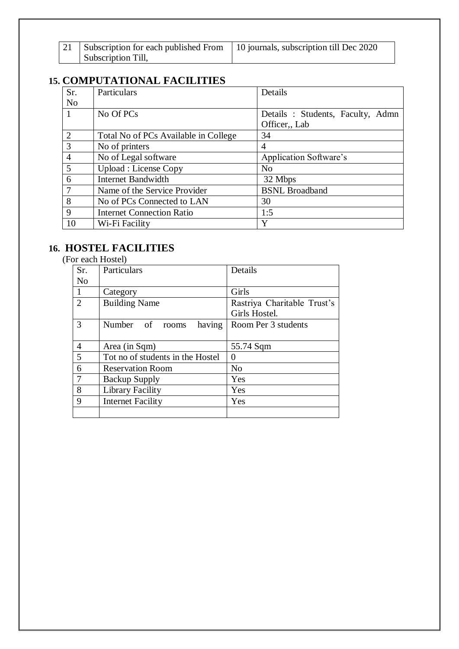| 21 | Subscription for each published From   10 journals, subscription till Dec 2020 |  |
|----|--------------------------------------------------------------------------------|--|
|    | Subscription Till,                                                             |  |

#### **15. COMPUTATIONAL FACILITIES**

| Sr.            | Particulars                          | Details                          |
|----------------|--------------------------------------|----------------------------------|
| N <sub>o</sub> |                                      |                                  |
|                | No Of PCs                            | Details: Students, Faculty, Admn |
|                |                                      | Officer, Lab                     |
| $\overline{2}$ | Total No of PCs Available in College | 34                               |
| 3              | No of printers                       | $\overline{4}$                   |
| $\overline{4}$ | No of Legal software                 | Application Software's           |
| 5              | Upload : License Copy                | N <sub>o</sub>                   |
| 6              | <b>Internet Bandwidth</b>            | 32 Mbps                          |
|                | Name of the Service Provider         | <b>BSNL</b> Broadband            |
| 8              | No of PCs Connected to LAN           | 30                               |
| 9              | <b>Internet Connection Ratio</b>     | 1:5                              |
| 10             | Wi-Fi Facility                       | Y                                |

#### **16. HOSTEL FACILITIES**

|  |  | (For each Hostel) |
|--|--|-------------------|
|--|--|-------------------|

| Sr.            | Particulars                      | Details                     |
|----------------|----------------------------------|-----------------------------|
| N <sub>o</sub> |                                  |                             |
| $\mathbf{1}$   | Category                         | Girls                       |
| $\overline{2}$ | <b>Building Name</b>             | Rastriya Charitable Trust's |
|                |                                  | Girls Hostel.               |
| 3              | having<br>Number of rooms        | Room Per 3 students         |
|                |                                  |                             |
| $\overline{4}$ | Area (in Sqm)                    | 55.74 Sqm                   |
| 5              | Tot no of students in the Hostel | 0                           |
| 6              | <b>Reservation Room</b>          | N <sub>o</sub>              |
| $\overline{7}$ | <b>Backup Supply</b>             | Yes                         |
| 8              | Library Facility                 | Yes                         |
| 9              | Internet Facility                | Yes                         |
|                |                                  |                             |